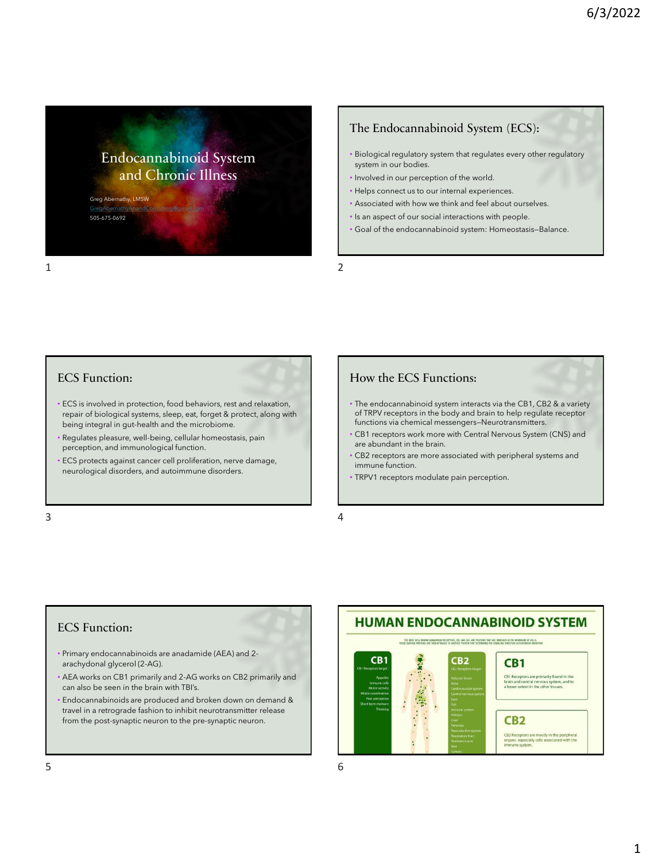Endocannabinoid System and Chronic Illness

Greg Abernathy, LMSW [GregAbernathyAnandConsulting@gmail.com](mailto:GregAbernathyAnandConsulting@gmail.com) 505-675-0692

### The Endocannabinoid System (ECS):

- Biological regulatory system that regulates every other regulatory system in our bodies.
- Involved in our perception of the world.
- Helps connect us to our internal experiences.
- Associated with how we think and feel about ourselves.
- Is an aspect of our social interactions with people.
- Goal of the endocannabinoid system: Homeostasis—Balance.

#### ECS Function:

- ECS is involved in protection, food behaviors, rest and relaxation, repair of biological systems, sleep, eat, forget & protect, along with being integral in gut-health and the microbiome.
- Regulates pleasure, well-being, cellular homeostasis, pain perception, and immunological function.
- ECS protects against cancer cell proliferation, nerve damage, neurological disorders, and autoimmune disorders.

 $3 \overline{4}$ 

### How the ECS Functions:

- The endocannabinoid system interacts via the CB1, CB2 & a variety of TRPV receptors in the body and brain to help regulate receptor functions via chemical messengers—Neurotransmitters.
- CB1 receptors work more with Central Nervous System (CNS) and are abundant in the brain.
- CB2 receptors are more associated with peripheral systems and immune function.
- TRPV1 receptors modulate pain perception.

### ECS Function:

- Primary endocannabinoids are anadamide (AEA) and 2 arachydonal glycerol (2-AG).
- AEA works on CB1 primarily and 2-AG works on CB2 primarily and can also be seen in the brain with TBI's.
- Endocannabinoids are produced and broken down on demand & travel in a retrograde fashion to inhibit neurotransmitter release from the post-synaptic neuron to the pre-synaptic neuron.

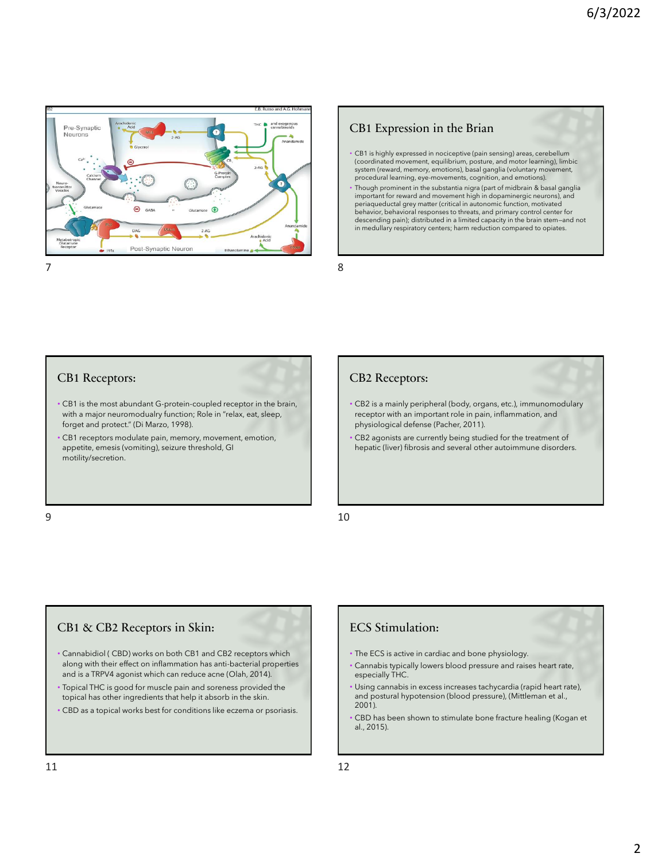

## CB1 Expression in the Brian

- CB1 is highly expressed in nociceptive (pain sensing) areas, cerebellum (coordinated movement, equilibrium, posture, and motor learning), limbic system (reward, memory, emotions), basal ganglia (voluntary movement, procedural learning, eye-movements, cognition, and emotions).
- Though prominent in the substantia nigra (part of midbrain & basal ganglia important for reward and movement high in dopaminergic neurons), and periaqueductal grey matter (critical in autonomic function, motivated behavior, behavioral responses to threats, and primary control center for descending pain); distributed in a limited capacity in the brain stem—and not in medullary respiratory centers; harm reduction compared to opiates.

#### CB1 Receptors:

- CB1 is the most abundant G-protein-coupled receptor in the brain, with a major neuromodualry function; Role in "relax, eat, sleep, forget and protect." (Di Marzo, 1998).
- CB1 receptors modulate pain, memory, movement, emotion, appetite, emesis (vomiting), seizure threshold, GI motility/secretion.

#### CB2 Receptors:

- CB2 is a mainly peripheral (body, organs, etc.), immunomodulary receptor with an important role in pain, inflammation, and physiological defense (Pacher, 2011).
- CB2 agonists are currently being studied for the treatment of hepatic (liver) fibrosis and several other autoimmune disorders.

#### $9 \hspace{2.5cm} 10$

### CB1 & CB2 Receptors in Skin:

- Cannabidiol ( CBD) works on both CB1 and CB2 receptors which along with their effect on inflammation has anti-bacterial properties and is a TRPV4 agonist which can reduce acne (Olah, 2014).
- Topical THC is good for muscle pain and soreness provided the topical has other ingredients that help it absorb in the skin.
- CBD as a topical works best for conditions like eczema or psoriasis.

### ECS Stimulation:

- The ECS is active in cardiac and bone physiology.
- Cannabis typically lowers blood pressure and raises heart rate, especially THC.
- Using cannabis in excess increases tachycardia (rapid heart rate), and postural hypotension (blood pressure), (Mittleman et al., 2001).
- CBD has been shown to stimulate bone fracture healing (Kogan et al., 2015).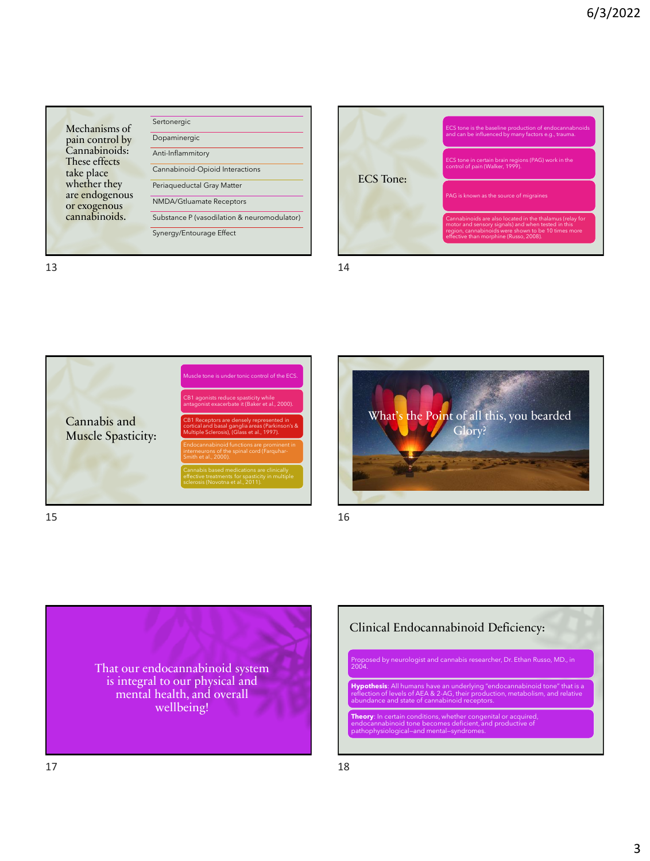





 $15$  and  $16$ 





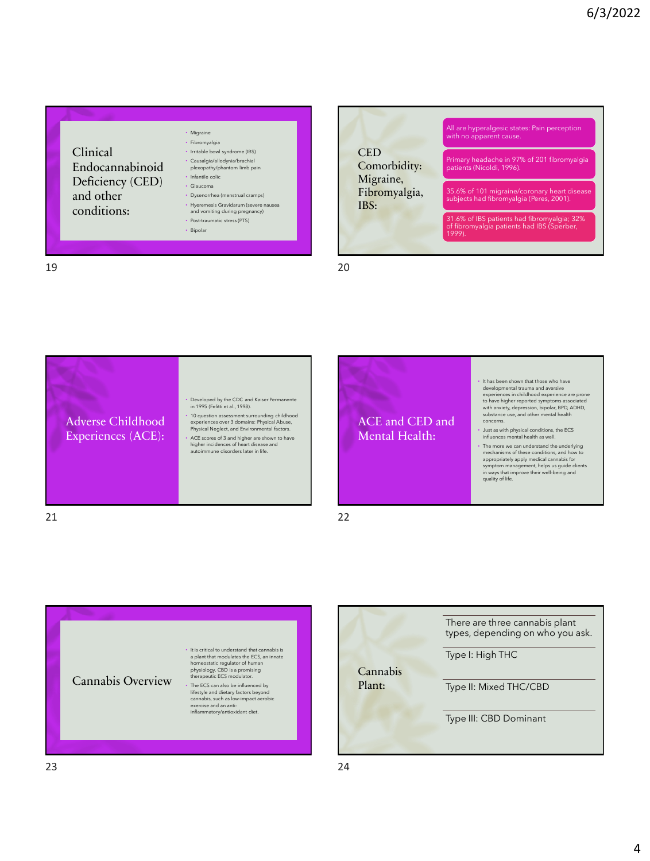









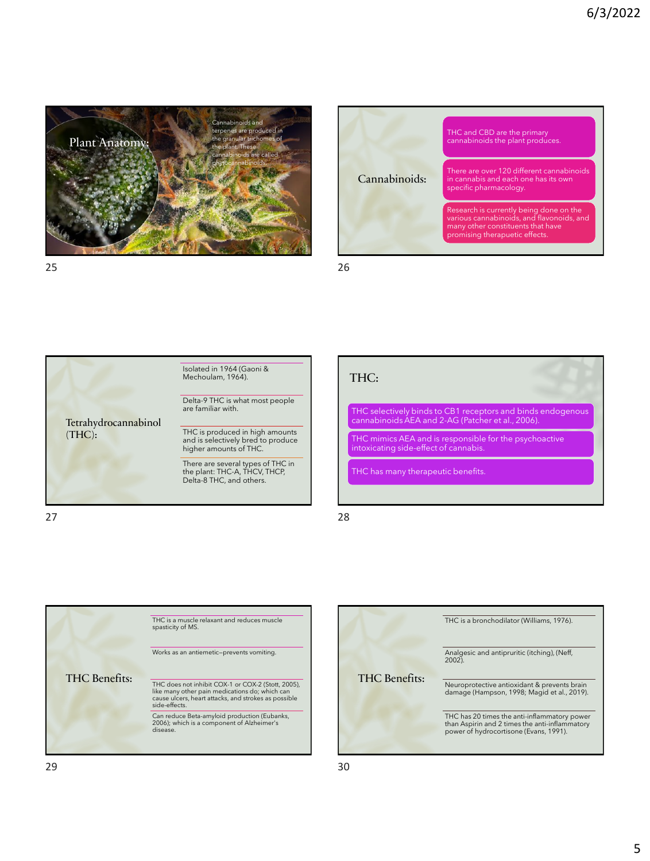





 $27$  28

# THC:

THC selectively binds to CB1 receptors and binds endogenous cannabinoids AEA and 2-AG (Patcher et al., 2006).

THC mimics AEA and is responsible for the psychoactive intoxicating side-effect of cannabis.

THC has many therapeutic benefits.



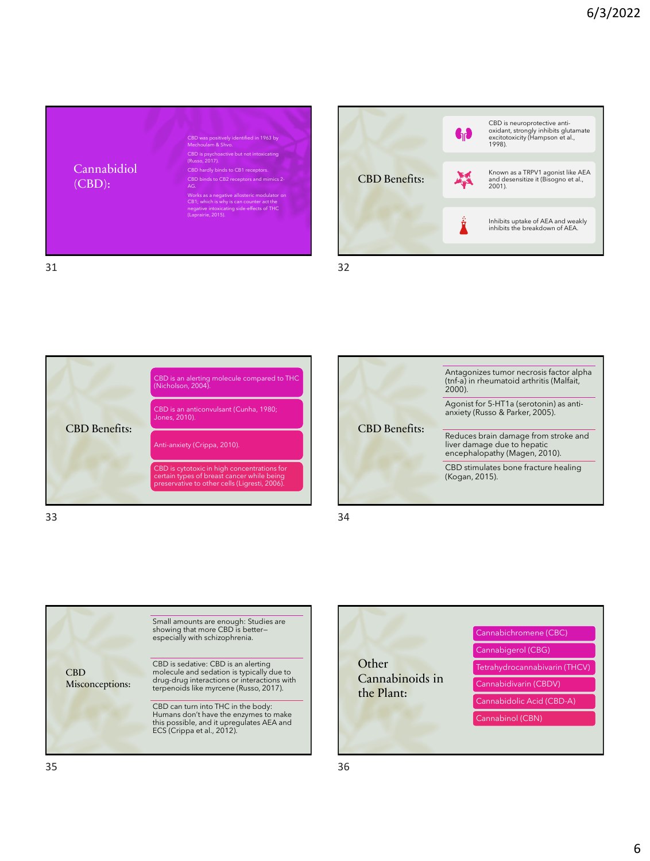









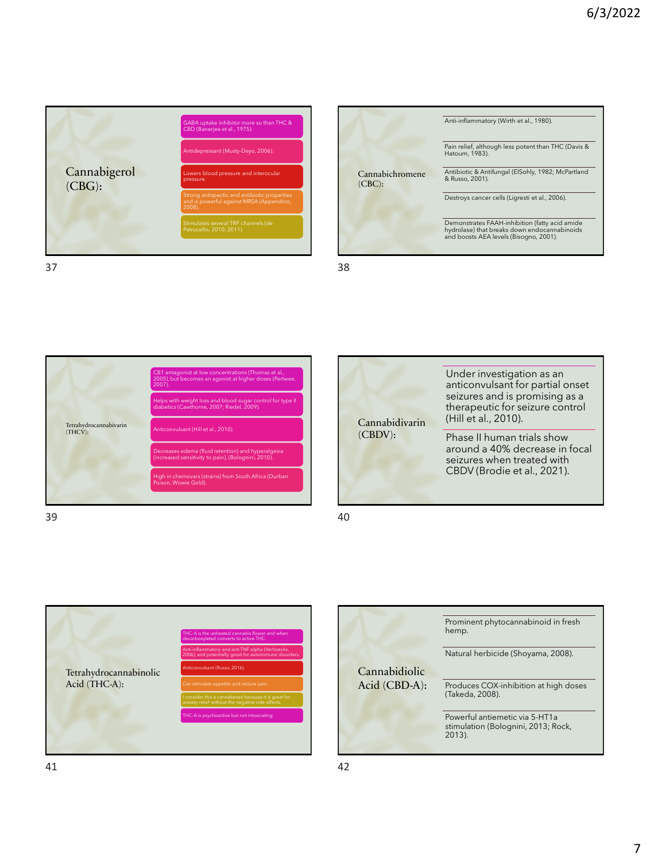

Cannabichromene (CBC): Anti-inflammatory (Wirth et al., 1980). Pain relief, although less potent than THC (Davis & Hatoum, 1983). Antibiotic & Antifungal (ElSohly, 1982; McPartland & Russo, 2001). Destroys cancer cells (Ligresti et al., 2006). Demonstrates FAAH-inhibition (fatty acid amide hydrolase) that breaks down endocannabinoids and boosts AEA levels (Bisogno, 2001).



 $39$  40





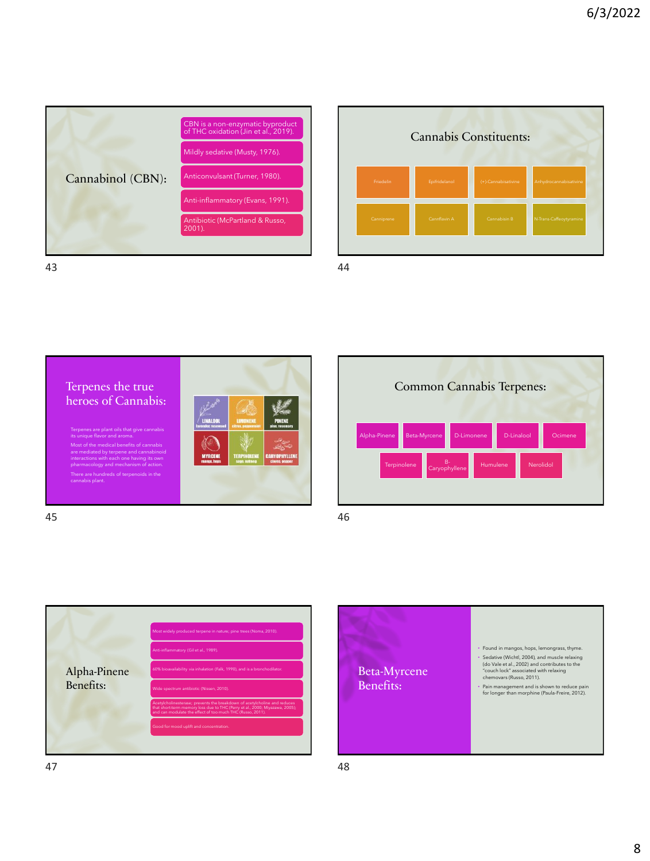









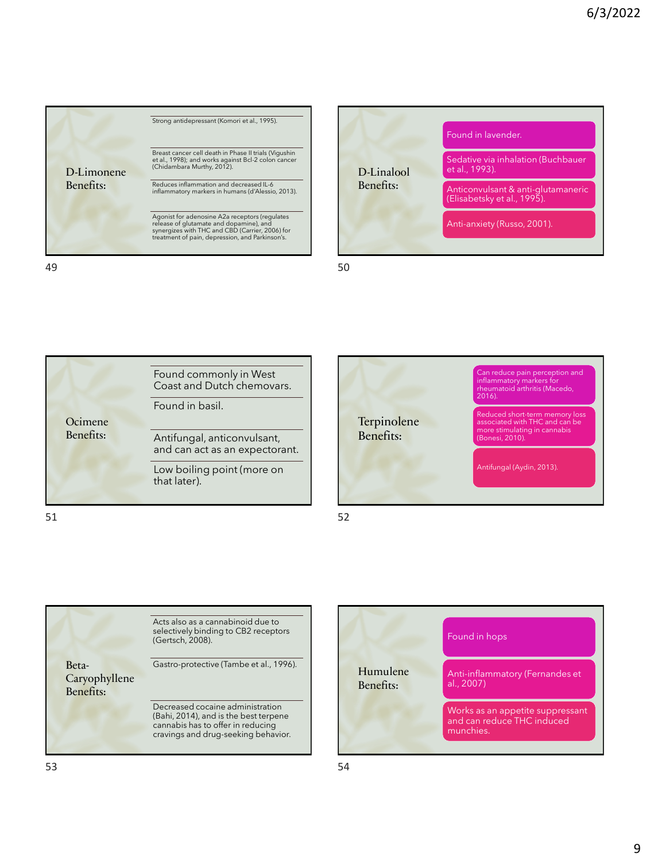

49 50









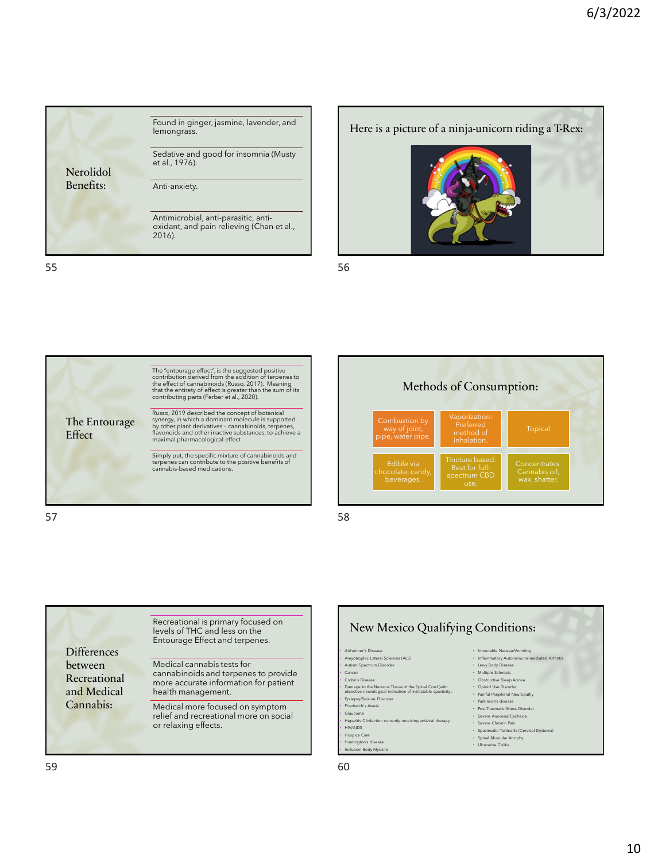





Recreational is primary focused on levels of THC and less on the Entourage Effect and terpenes.

cannabinoids and terpenes to provide more accurate information for patient

Medical more focused on symptom relief and recreational more on social

Medical cannabis tests for

health management.

or relaxing effects.





**Differences** between Recreational and Medical Cannabis: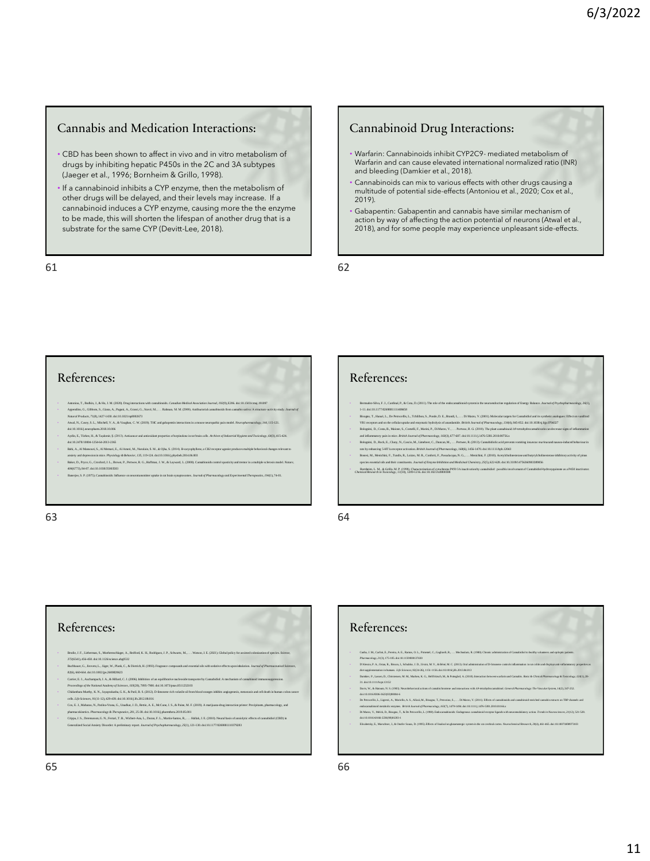#### Cannabis and Medication Interactions:

- CBD has been shown to affect in vivo and in vitro metabolism of drugs by inhibiting hepatic P450s in the 2C and 3A subtypes (Jaeger et al., 1996; Bornheim & Grillo, 1998).
- If a cannabinoid inhibits a CYP enzyme, then the metabolism of other drugs will be delayed, and their levels may increase. If a cannabinoid induces a CYP enzyme, causing more the the enzyme to be made, this will shorten the lifespan of another drug that is a substrate for the same CYP (Devitt-Lee, 2018).

61 62

#### Cannabinoid Drug Interactions:

- Warfarin: Cannabinoids inhibit CYP2C9- mediated metabolism of Warfarin and can cause elevated international normalized ratio (INR) and bleeding (Damkier et al., 2018).
- Cannabinoids can mix to various effects with other drugs causing a multitude of potential side-effects (Antoniou et al., 2020; Cox et al., 2019).
- Gabapentin: Gabapentin and cannabis have similar mechanism of action by way of affecting the action potential of neurons (Atwal et al., 2018), and for some people may experience unpleasant side-effects.

#### References:

- Ameter, Tabakh J. & H. M. Offith Day interstence with annehmed. Consider Marchards America 1990-1936 & in 1980<br>Appending, G. Gibban, S. Gian, A. Pagni, A. Gassi, G. Stow, M. L. . Babma, M. M. (2003), Additional and the<br>M
- doi:10.1016/j.neuropharm.2018.10.006
- Aydin, E., Türkez, H., & Taşdemir, Ş. (2013). Anticancer and antioxidant properties of terpinolene in rat brain cells. *Archives of Industrial Hygiene and Toxicology, 64*(3), 415-424.
- doi:10.2478/10004-1254-64-2013-2365<br>• Bahi, A., Al Mansouri, S., Al Memari, E., Al Ameri, M., Nurulain, S. M., & Ojha, S. (2014). Β-caryophyllene, a CB2 receptor agonist produces multiple behavioral changes relevant to
- ansiety and depression in nice. Physiology & Bohaviov, 135,119-124. doi:10.1016 jphysbeh.2014.06.003<br>-<br>Baker. D.: Proce. G.: Crosford. J. L.: Brown. P.: Pertwee. R. G.: Haffman. J. W.. & Lavward. L. (2000). Camabinoids con 773), 84-87. doi:10.1038/35
- Banerjee, S. P. (1975). Cannabinoids: Influence on neurotransmitter uptake in rat brain synaptosomes. *Journal of Pharmacology and Experimental Therapeutics, 194*(1), 74-81.

### References:

- Bermudez-Silva, F. J., Cardinal, P., & Cota, D. (2011). The role of the endocannabinoid system in the neuroendocrine regulation of Energy Balance. *Journal of Psychopharmacology, 26*(1), 1-11. doi:10.1177/0269881111408458<br>• Bisogno, T., Hanuš, L., De Petrocellis, L., Tchilibon, S., Ponde, D. E., Brandi, L., .. Di Mazoo, V. (2001). Molecular targets for Carnabidiol and its synfactic analogues: Effect on var
- VR1 receptors and on the cellular uptake and enzymatic hydrolysis of anandamide. British Jearnal of Pharmacology, 1344), 845-852. doi:10.1038isj hjp.0704327<br>Bolognini, D., Costa, B., Maione, S., Comelli, F., Natrini, P., D
- and inflammatory pain in mice. British Journal of Pharmacology, 160(3), 677-687. doi:10.11115.1476-5381.2010.00756.x<br>Bolognini, D., Rock, E., Clusy, N., Cascio, M., Limebeer, C., Duncan, M., . . . Pertwee, R. (2013). Camub rats by enhancing 5-HT1a receptor activation. *British Journal of Pharmacology, 168*(6), 1456-1470. doi:10.1111/bph.12043
- Bonesi, M., Menichini, F., Tundis, R., Loizzo, M. R., Conforti, F., Passalacqua, N. G., . . . Menichini, F. (2010). Acetylcholinesterase and butyrylcholinesterase inhibitory activity of pinus species essential oils and their constituents. *Journal of Enzyme Inhibition and Medicinal Chemistry, 25*(5), 622-628. doi:10.3109/14756360903389856
- Phombeim, L. M., & Grillo, M. P. (1998). Characterization of cytochrome P450 3A inactivation by camabidiol: possible involvement of Canabidiol-hydroxyquinone as a P450 inactivator.<br>Chomical Research in Texicology. 11 (10).

#### 63 64

### References:

- Brodie, J. F., Lieberman, S., Moehrenschlager, A., Redford, K. H., Rodríguez, J. P., Schwartz, M., . . . Watson, J. E. (2021). Global policy for assisted colonization of species. *Science,* 372(6541), 456-458. doi:10.1126/science.abg0532<br>• Buchbuaer, G., Jinvetz, L., Jäger, W., Plank, C., & Dietrich, H. (1993). Fragrance compounds and essential cits with sedative effects upon inhalation. Journal of Pharmaceut
- 
- 
- 506; 16064 de la Différe 20080623<br>Contro, E. A. Achmedel, J. A. & Billot, C. I. (2005). bibliotes als registrates interactively Canadidael. A melanim of considerat immunosypersion.<br>Proceding of the Michael Academy of Scien
- phamacoliaetis. Phormaology & Theraponics, 201, 25-38. doi: 10.1016 j.phambers. 2019.05.001<br>- Grippa, J. S., Decensora, G. N., Periodic Marchan, L., Darma, F. L. Minin Sanno, R., . . Huluk, J. E. (2010). Nearal busi of ani

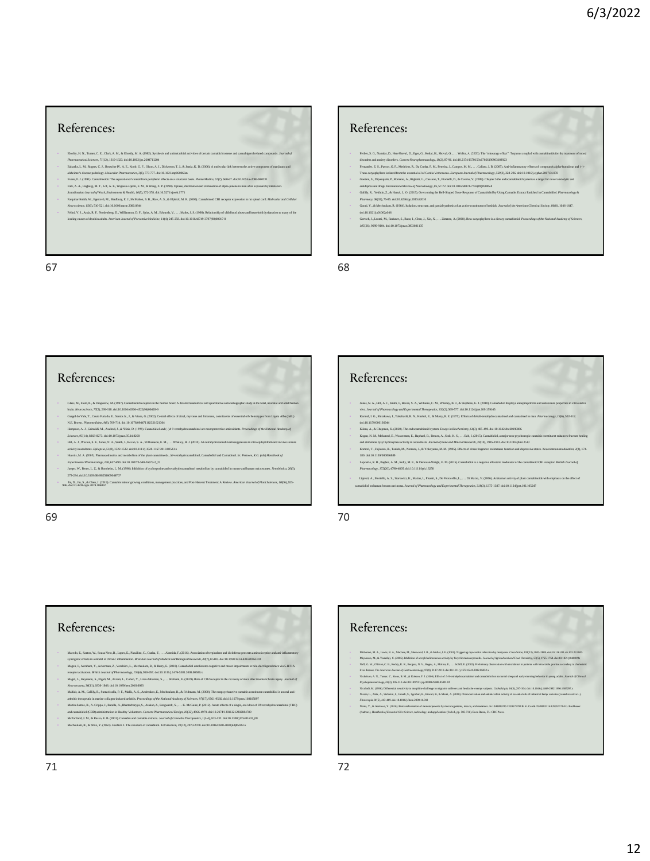#### References:

- Booky, I. N., Ture, C. E., Clark, M., A. B. 1069, M. (1993), System and antaniceshal schrides continuenteent and cambigered related composable. Journal of<br>Pharmaconical Science, 7:10, Russella 10. 10.13, 2006, M. S. The Co
- 
- Town F. (1991). Combined: The equation of complete philosophics on a mean basis. Promotoine, 375, 860 E. due in 860 and 10 and 10 and 10 and 10 and 10 and 10 and 10 and 10 and 10 and 10 and 10 and 10 and 10 and 10 and 10
- 
- Neuroncinner, 15(6), 510-521. doi:10.1006 incne.2000.0844<br>· Felitti, V. J., Andu, R. F., Nordenberg, D., Williamson, D. F., Spitz, A. M., Edwards, V., . . . Marks, J. S. (1998). Relationship of childhood abuse and househol

leading causes of death in adults. *American Journal of Preventive Medicine, 14*(4), 245-258. doi:10.1016/s0749-3797(98)00017-8

 $67$  68

#### References: Ferber, S. G., Nandar, D., Hen-Shoval, D., Eger, G., Koltai, H., Shoval, G., . . . Weller, A. (2020). The "entourage effect": Terpenes coupled with cannabinoids for the treatment of mood<br>disorders and arrivety disorders. C • Fernandes, E. S., Passos, G. F., Medeiros, R., Da Cunha, F. M., Ferreira, J., Campos, M. M., . . . Calixto, J. B. (2007). Anti-inflammatory effects of compounds alpha-humulene and (−)- Trans-caryophyllene isolated from the essential oil of Cordia Verbenacea. *European Journal of Pharmacology, 569*(3), 228-236. doi:10.1016/j.ejphar.2007.04.059 Gaetani, S., Dipsoquale, P., Romano, A., Righetti, L., Cassano, T., Pienrelli, D., & Cucmo, V. (2009). Chapter 5 the endocamubinoid system as a target for novel anxielytic and<br>antidepressant drugs. International Review of • Gallily, R., Yekhtin, Z., & Hanuš, L. O. (2015). Overcoming the Bell-Shaped Dose-Response of Cannabidiol by Using Cannabis Extract Enriched in Cannabidiol. *Pharmacology & Pharmacy, 06*(02), 75-85. doi:10.4236/pp.2015.62010 • Gaoni, Y., & Mechoulam, R. (1964). Isolation, structure, and partial synthesis of an active constituent of hashish. *Journal of the American Chemical Society, 86*(8), 1646-1647. doi:10.1021/jd01062a046<br>• Gertsch, J., Leonti, M., Raduner, S., Racz, 1., Chen, J., Xie, X., . . . Zimmer, A. (2008). Beta-caryophyllene is a dietary cannabinoid. *Proceedings of the National Academy of Sciences*, *105*(26), 9099-9104. doi:10.1073/pnas.0803601105

#### References:

- Glass, M., Faull, R., & Dragunow, M. (1997). Cannabinoid receptors in the human brain: A detailed anatomical and quantitative autoradiographic study in the fetal, neonatal and adult human
- bnin. Nouvosience, 77(2, 299-318. doi:10.1016/6006-4522/06/00028-9<br>- Grand do Vale, T., Conto Fundale, E., Sunda, 10, 1002, Cornal effects of citral, myrcene and limnenne, constituents of essential of chemotypes from Lippi
- 
- Hompo, A. J. Condick, A. Actor, A. W. D. (1998). Cambridge and (- y. 8 vestop incomplete and material controlling of the National Actor of the State A. Actor of the State A. Actor of the State A. Actor of the State A. Ac
- 
- — Насвіз, М. А. (2005). Равтаслідскіх на тейнійня оʻйне ранканды, АЗ-асадрахсандзіні, Санадзіні ла Санадзін<br>— Европты Навтаноду, 168, 65-800, da: 0. 1007.3-49. Згіз 2-2, 2.<br>- Інген: W., Rose, L. Z., & Bondein, L. M. (
- 275-284. doi:10.3109/00498259609046707
- \* Fin D., Jin, S., & Chen, J. (2019). Cannabis indoor growing conditions, management practices, and Post-Harvest Treatment: A Review. American Journal of Plant Sciences, 10(06), 925-<br>946. doi: 10.4236/aips. 2019. 106067

69 70

### References:

- Jones, N. A., Hill, A. J., Smith, I., Bevan, S. A., Williams, C. M., Whalley, B. J., & Stephens, G. J. (2010). Cannabidiol displays antiepileptiformand antiseizure properties in vitro and in vivo. *Journal of Pharmacology and Experimental Therapeutics, 332*(2), 569-577. doi:10.1124/jpet.109.159145 • Karniol, I. G., Shirakawa, I., Takahashi, R. N., Knobel, E., & Musty, R. E. (1975). Effects of delta9-tetrahydrocannabinol and cannabinol in man. *Pharmacology, 13*(6), 502-512.
- doi:10.1159/000136944
- Кана, А. Сырак, К. (2003, Тысыковайный рома. Байл, Байл, Байл, Байл, Байл (1945) далуу октов<br>Кара, Х. М. Афаны, Е., Wavenum, Е., Replact, В., Вонес, А., Sak, К. S. . . . . Вы 1, (2015). Санабайл, а науме<br>На байлан бургі
- 
- 180. doi:10.1159/000096889 Laprairie, R. B., Bagher, A. M., Kelly, M. E., & Denovan-Wright, E. M. (2015). Cannabidiol is a negative allosteric modulator of the cannabinoid CB1 receptor. *British Journal of Pharmacology, 172*(20), 4790-4805. doi:10.1111/bph.13250
- Ligresti, A., Moriello, A. S., Starowicz, K., Matias, I., Pisanti, S., De Petrocellis, L., . . . Di Marzo, V. (2006). Antitumor activity of plant cannabinoids with emphasis on the effect of cannabidiol on human breast carcinoma. *Journal of Pharmacology and Experimental Therapeutics, 318*(3), 1375-1387. doi:10.1124/jpet.106.105247

### References:

- Macedo, E., Santos, W., Sousa Neto, B., Lopes, E., Piauilino, C., Cunha, F., . . . Almeida, F. (2016). Association of terpinolene and diclofenac presents antinociceptive and anti-inflammatory synergistic effects in a model of chronic inflammation. *Brazilian Journal of Medical and Biological Besourch, 49*(7), E5103. doi:10.1590/1414-831x20165103<br>Magen, L. Avraham, Y., Ackerman, Z., Voobiev, L., Mechsolam, R., &
- receptor activation. British Journal of Pharmacology, 159(4), 950-957. doi:10.1111/j.1476-5381.2009.00589.x<br>Magid, L., Heyman, S., Elgali, M., Avran, L., Cohen, Y., Linas Zaltoman, S., . . . Shohami, E. (2019). Role of CB2
- Angol, L., resymente, 2s, engant, en<sub>t e</sub> evenne, 10, 10.000.<br>*Feurotrauma, 36*(11), 1836-1846. doi:10.1089/neu.2018.6063<br>Anfair, A. M., Gailliy, R., Sumeriwalla, P. F., Maili, A. S., Anderakos, E., Mechenziam, R., & Feldm
- Malita, Ak. Gulliy, K. Sminwishi, F. F. Malik, A. A. Asheka, F. Malitan, K. B. (2003). The mapplisation cambible is most ani-<br>addition. The matter of the particular interdependent of the Malitan School (2003). The mapple
- 
-